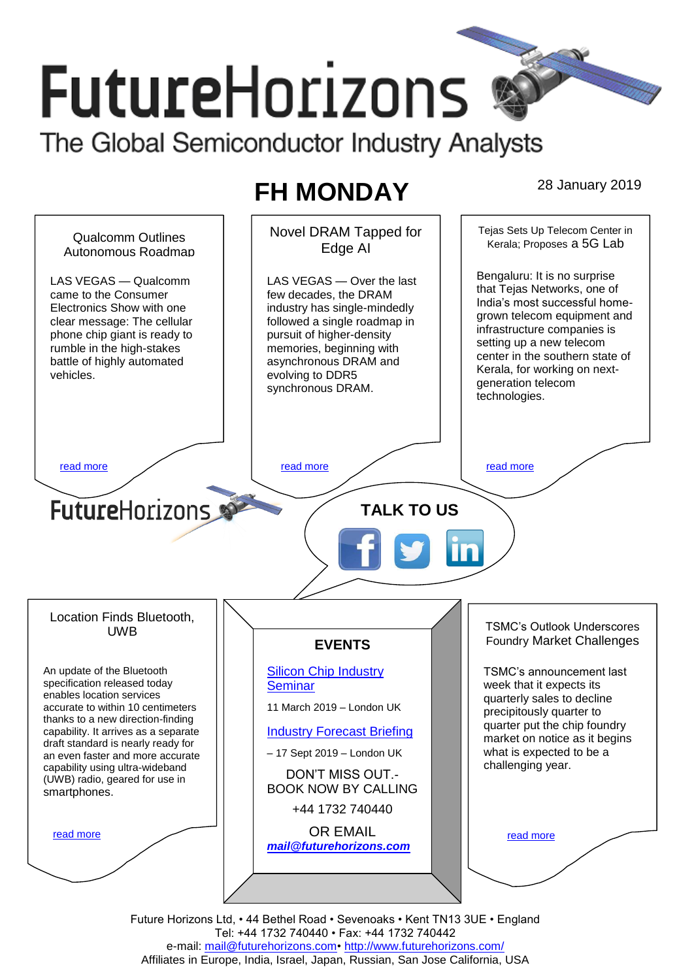# **FutureHorizons** The Global Semiconductor Industry Analysts

# **FH MONDAY** 28 January 2019



Future Horizons Ltd, • 44 Bethel Road • Sevenoaks • Kent TN13 3UE • England Tel: +44 1732 740440 • Fax: +44 1732 740442 e-mail: mail@futurehorizons.com• http://www.futurehorizons.com/ Affiliates in Europe, India, Israel, Japan, Russian, San Jose California, USA